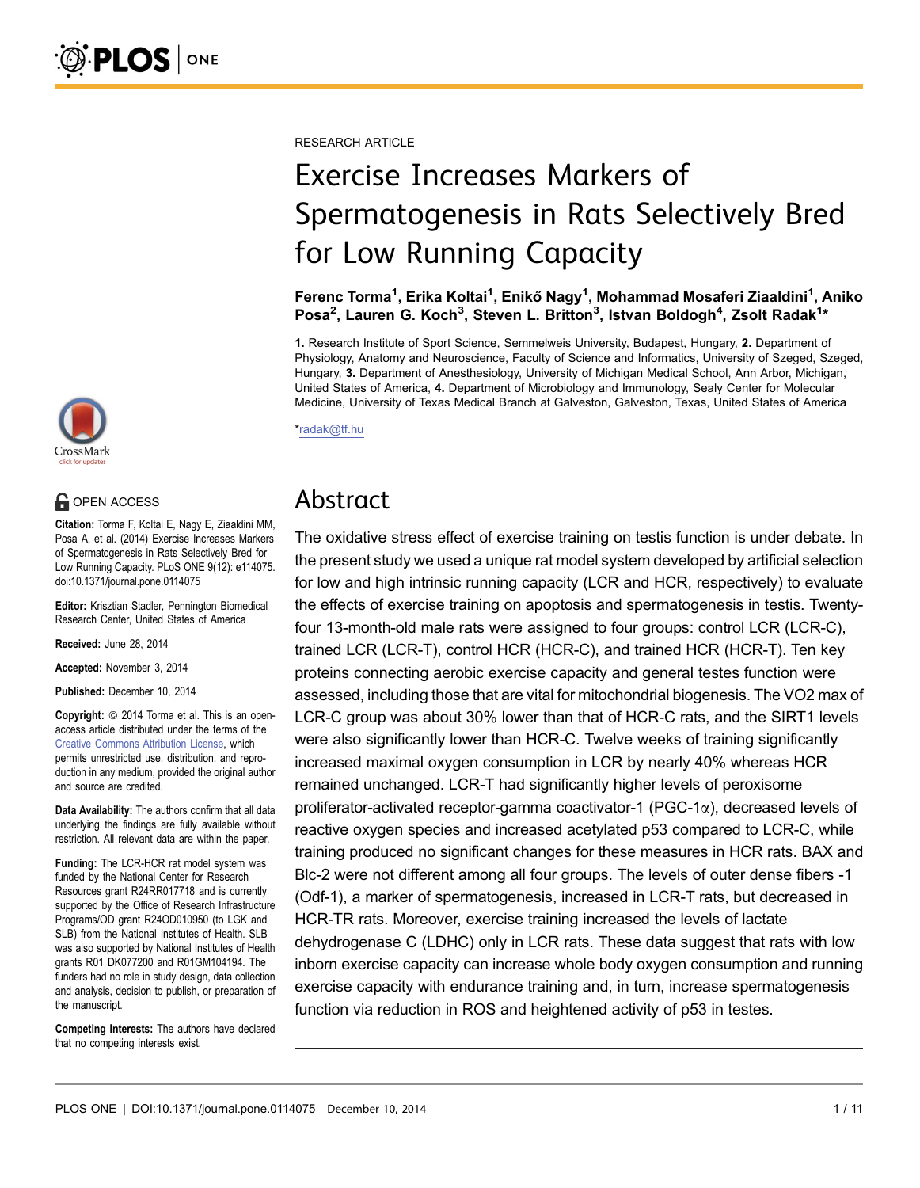CrossMark

# **G** OPEN ACCESS

Citation: Torma F, Koltai E, Nagy E, Ziaaldini MM, Posa A, et al. (2014) Exercise Increases Markers of Spermatogenesis in Rats Selectively Bred for Low Running Capacity. PLoS ONE 9(12): e114075. doi:10.1371/journal.pone.0114075

Editor: Krisztian Stadler, Pennington Biomedical Research Center, United States of America

Received: June 28, 2014

Accepted: November 3, 2014

Published: December 10, 2014

**Copyright:** © 2014 Torma et al. This is an openaccess article distributed under the terms of the [Creative Commons Attribution License,](http://creativecommons.org/licenses/by/4.0/) which permits unrestricted use, distribution, and reproduction in any medium, provided the original author and source are credited.

Data Availability: The authors confirm that all data underlying the findings are fully available without restriction. All relevant data are within the paper.

Funding: The LCR-HCR rat model system was funded by the National Center for Research Resources grant R24RR017718 and is currently supported by the Office of Research Infrastructure Programs/OD grant R24OD010950 (to LGK and SLB) from the National Institutes of Health. SLB was also supported by National Institutes of Health grants R01 DK077200 and R01GM104194. The funders had no role in study design, data collection and analysis, decision to publish, or preparation of the manuscript.

Competing Interests: The authors have declared that no competing interests exist.

RESEARCH ARTICLE

# Exercise Increases Markers of Spermatogenesis in Rats Selectively Bred for Low Running Capacity

Ferenc Torma<sup>1</sup>, Erika Koltai<sup>1</sup>, Enikő Nagy<sup>1</sup>, Mohammad Mosaferi Ziaaldini<sup>1</sup>, Aniko Posa<sup>2</sup>, Lauren G. Koch<sup>3</sup>, Steven L. Britton<sup>3</sup>, Istvan Boldogh<sup>4</sup>, Zsolt Radak<sup>1</sup>\*

1. Research Institute of Sport Science, Semmelweis University, Budapest, Hungary, 2. Department of Physiology, Anatomy and Neuroscience, Faculty of Science and Informatics, University of Szeged, Szeged, Hungary, 3. Department of Anesthesiology, University of Michigan Medical School, Ann Arbor, Michigan, United States of America, 4. Department of Microbiology and Immunology, Sealy Center for Molecular Medicine, University of Texas Medical Branch at Galveston, Galveston, Texas, United States of America

\*radak@tf.hu

# Abstract

The oxidative stress effect of exercise training on testis function is under debate. In the present study we used a unique rat model system developed by artificial selection for low and high intrinsic running capacity (LCR and HCR, respectively) to evaluate the effects of exercise training on apoptosis and spermatogenesis in testis. Twentyfour 13-month-old male rats were assigned to four groups: control LCR (LCR-C), trained LCR (LCR-T), control HCR (HCR-C), and trained HCR (HCR-T). Ten key proteins connecting aerobic exercise capacity and general testes function were assessed, including those that are vital for mitochondrial biogenesis. The VO2 max of LCR-C group was about 30% lower than that of HCR-C rats, and the SIRT1 levels were also significantly lower than HCR-C. Twelve weeks of training significantly increased maximal oxygen consumption in LCR by nearly 40% whereas HCR remained unchanged. LCR-T had significantly higher levels of peroxisome proliferator-activated receptor-gamma coactivator-1 ( $PGC-1\alpha$ ), decreased levels of reactive oxygen species and increased acetylated p53 compared to LCR-C, while training produced no significant changes for these measures in HCR rats. BAX and Blc-2 were not different among all four groups. The levels of outer dense fibers -1 (Odf-1), a marker of spermatogenesis, increased in LCR-T rats, but decreased in HCR-TR rats. Moreover, exercise training increased the levels of lactate dehydrogenase C (LDHC) only in LCR rats. These data suggest that rats with low inborn exercise capacity can increase whole body oxygen consumption and running exercise capacity with endurance training and, in turn, increase spermatogenesis function via reduction in ROS and heightened activity of p53 in testes.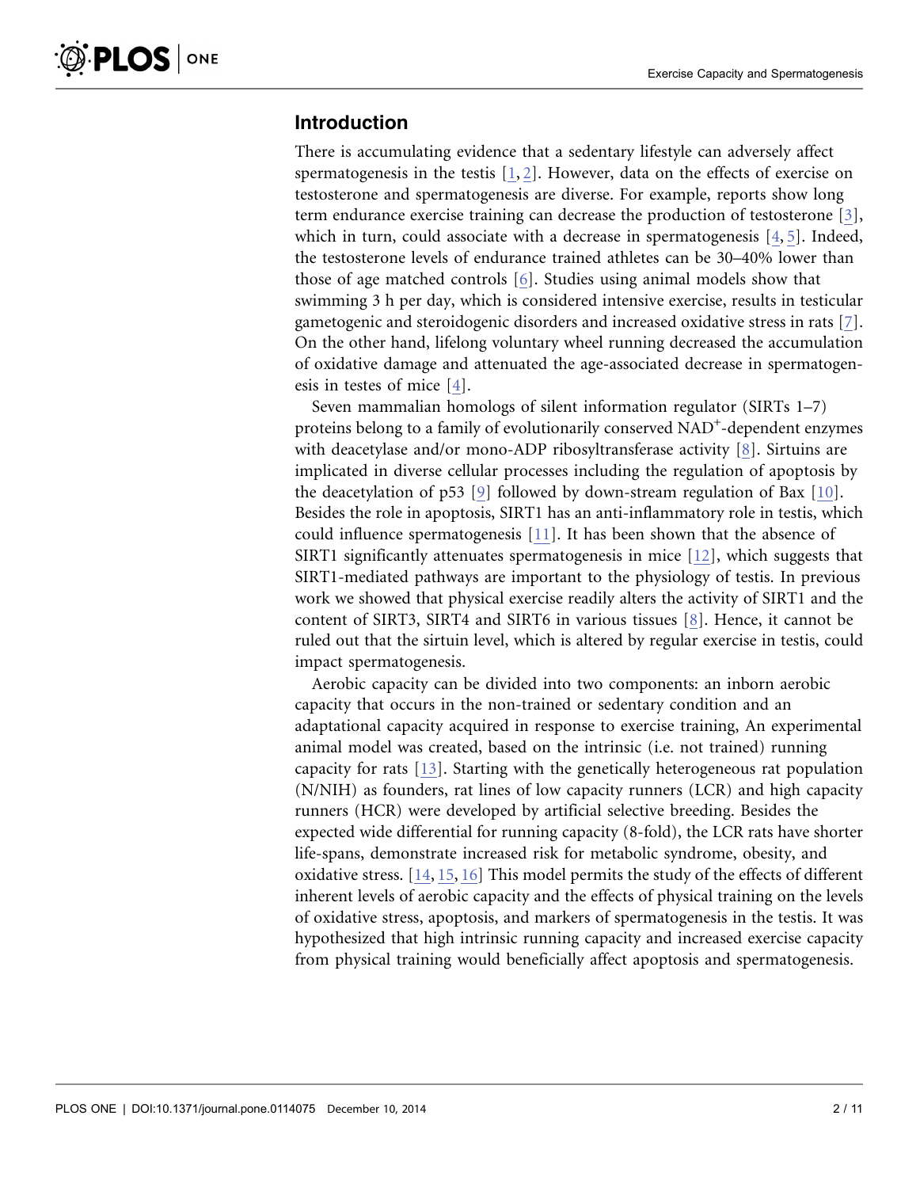# Introduction

There is accumulating evidence that a sedentary lifestyle can adversely affect spermatogenesis in the testis  $[1, 2]$  $[1, 2]$ . However, data on the effects of exercise on testosterone and spermatogenesis are diverse. For example, reports show long term endurance exercise training can decrease the production of testosterone [\[3\]](#page-8-0), which in turn, could associate with a decrease in spermatogenesis  $[4, 5]$ . Indeed, the testosterone levels of endurance trained athletes can be 30–40% lower than those of age matched controls [\[6\].](#page-8-0) Studies using animal models show that swimming 3 h per day, which is considered intensive exercise, results in testicular gametogenic and steroidogenic disorders and increased oxidative stress in rats [\[7\]](#page-8-0). On the other hand, lifelong voluntary wheel running decreased the accumulation of oxidative damage and attenuated the age-associated decrease in spermatogenesis in testes of mice [\[4\]](#page-8-0).

Seven mammalian homologs of silent information regulator (SIRTs 1–7) proteins belong to a family of evolutionarily conserved NAD<sup>+</sup>-dependent enzymes with deacetylase and/or mono-ADP ribosyltransferase activity [\[8\].](#page-8-0) Sirtuins are implicated in diverse cellular processes including the regulation of apoptosis by the deacetylation of p53 [\[9\]](#page-8-0) followed by down-stream regulation of Bax [\[10\]](#page-9-0). Besides the role in apoptosis, SIRT1 has an anti-inflammatory role in testis, which could influence spermatogenesis [\[11\].](#page-9-0) It has been shown that the absence of SIRT1 significantly attenuates spermatogenesis in mice [\[12\]](#page-9-0), which suggests that SIRT1-mediated pathways are important to the physiology of testis. In previous work we showed that physical exercise readily alters the activity of SIRT1 and the content of SIRT3, SIRT4 and SIRT6 in various tissues [\[8\].](#page-8-0) Hence, it cannot be ruled out that the sirtuin level, which is altered by regular exercise in testis, could impact spermatogenesis.

Aerobic capacity can be divided into two components: an inborn aerobic capacity that occurs in the non-trained or sedentary condition and an adaptational capacity acquired in response to exercise training, An experimental animal model was created, based on the intrinsic (i.e. not trained) running capacity for rats [\[13\]](#page-9-0). Starting with the genetically heterogeneous rat population (N/NIH) as founders, rat lines of low capacity runners (LCR) and high capacity runners (HCR) were developed by artificial selective breeding. Besides the expected wide differential for running capacity (8-fold), the LCR rats have shorter life-spans, demonstrate increased risk for metabolic syndrome, obesity, and oxidative stress. [\[14,](#page-9-0) [15,](#page-9-0) [16\]](#page-9-0) This model permits the study of the effects of different inherent levels of aerobic capacity and the effects of physical training on the levels of oxidative stress, apoptosis, and markers of spermatogenesis in the testis. It was hypothesized that high intrinsic running capacity and increased exercise capacity from physical training would beneficially affect apoptosis and spermatogenesis.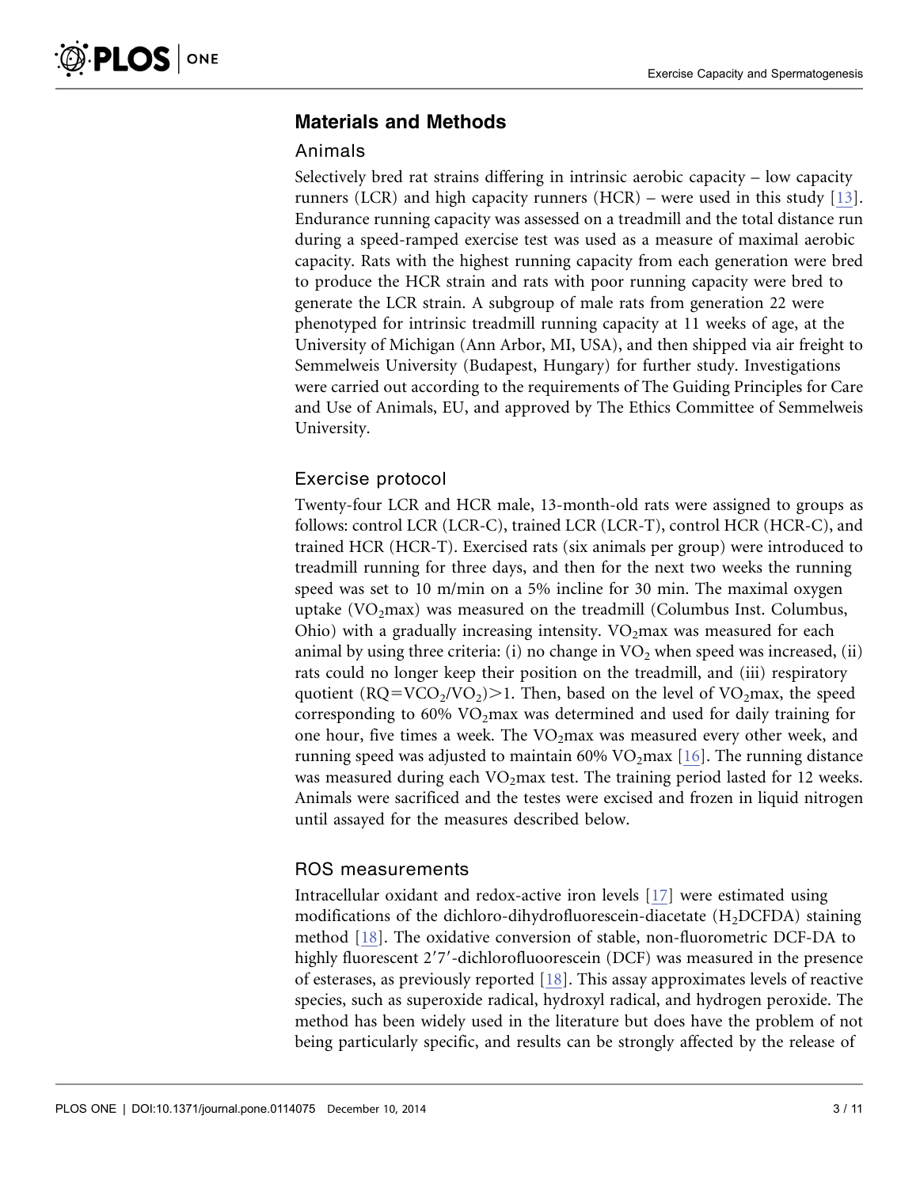# Materials and Methods

#### Animals

Selectively bred rat strains differing in intrinsic aerobic capacity – low capacity runners (LCR) and high capacity runners (HCR) – were used in this study [\[13\]](#page-9-0). Endurance running capacity was assessed on a treadmill and the total distance run during a speed-ramped exercise test was used as a measure of maximal aerobic capacity. Rats with the highest running capacity from each generation were bred to produce the HCR strain and rats with poor running capacity were bred to generate the LCR strain. A subgroup of male rats from generation 22 were phenotyped for intrinsic treadmill running capacity at 11 weeks of age, at the University of Michigan (Ann Arbor, MI, USA), and then shipped via air freight to Semmelweis University (Budapest, Hungary) for further study. Investigations were carried out according to the requirements of The Guiding Principles for Care and Use of Animals, EU, and approved by The Ethics Committee of Semmelweis University.

#### Exercise protocol

Twenty-four LCR and HCR male, 13-month-old rats were assigned to groups as follows: control LCR (LCR-C), trained LCR (LCR-T), control HCR (HCR-C), and trained HCR (HCR-T). Exercised rats (six animals per group) were introduced to treadmill running for three days, and then for the next two weeks the running speed was set to 10 m/min on a 5% incline for 30 min. The maximal oxygen uptake  $(VO<sub>2</sub>max)$  was measured on the treadmill (Columbus Inst. Columbus, Ohio) with a gradually increasing intensity.  $VO<sub>2</sub>$  max was measured for each animal by using three criteria: (i) no change in  $VO<sub>2</sub>$  when speed was increased, (ii) rats could no longer keep their position on the treadmill, and (iii) respiratory quotient  $(RQ=VCO<sub>2</sub>/VO<sub>2</sub>)>1$ . Then, based on the level of VO<sub>2</sub>max, the speed corresponding to  $60\%$  VO<sub>2</sub>max was determined and used for daily training for one hour, five times a week. The  $VO<sub>2</sub>max$  was measured every other week, and running speed was adjusted to maintain  $60\%$  VO<sub>2</sub>max [\[16\]](#page-9-0). The running distance was measured during each  $VO<sub>2</sub>$  max test. The training period lasted for 12 weeks. Animals were sacrificed and the testes were excised and frozen in liquid nitrogen until assayed for the measures described below.

#### ROS measurements

Intracellular oxidant and redox-active iron levels [\[17\]](#page-9-0) were estimated using modifications of the dichloro-dihydrofluorescein-diacetate  $(H_2DCFDA)$  staining method [\[18\].](#page-9-0) The oxidative conversion of stable, non-fluorometric DCF-DA to highly fluorescent 2'7'-dichlorofluoorescein (DCF) was measured in the presence of esterases, as previously reported [\[18\].](#page-9-0) This assay approximates levels of reactive species, such as superoxide radical, hydroxyl radical, and hydrogen peroxide. The method has been widely used in the literature but does have the problem of not being particularly specific, and results can be strongly affected by the release of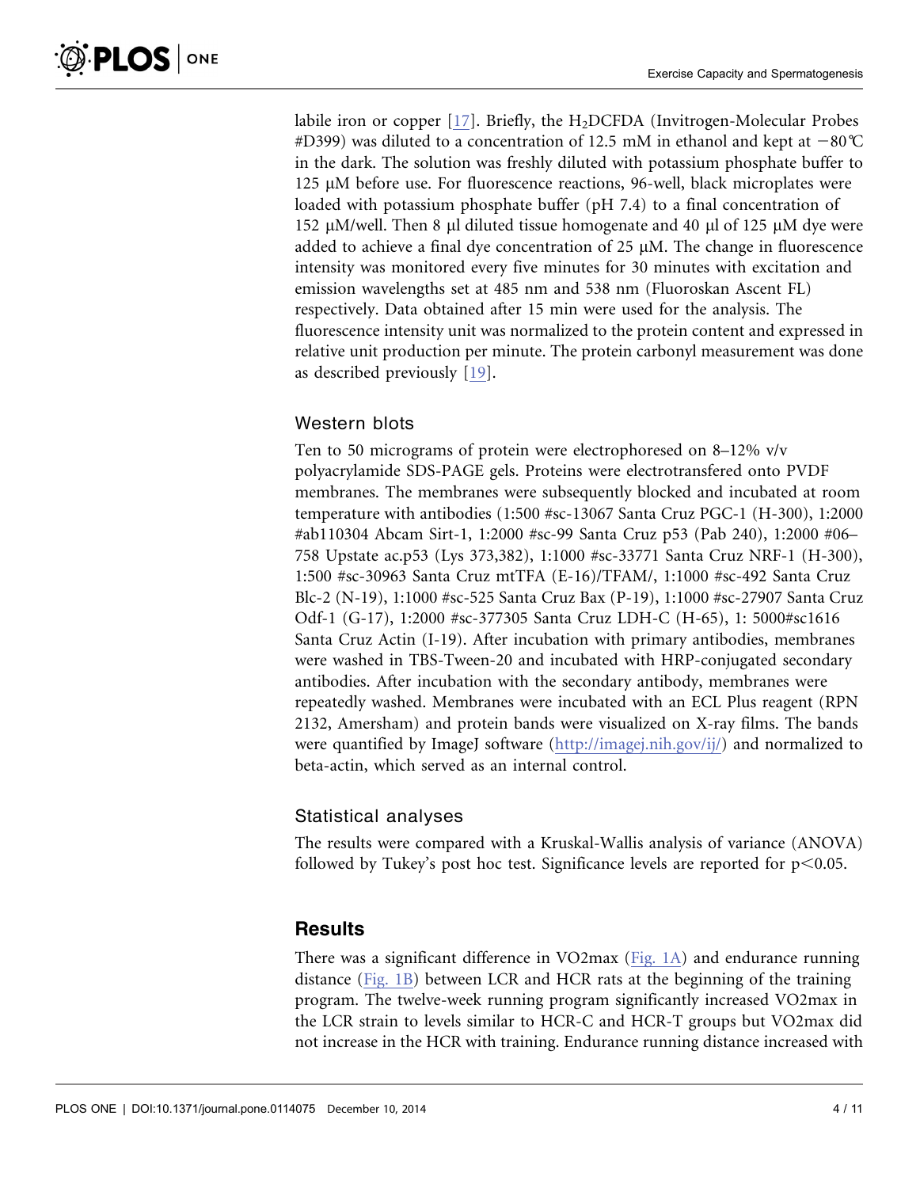labile iron or copper  $[17]$ . Briefly, the H<sub>2</sub>DCFDA (Invitrogen-Molecular Probes #D399) was diluted to a concentration of 12.5 mM in ethanol and kept at  $-80^{\circ}$ C in the dark. The solution was freshly diluted with potassium phosphate buffer to 125 µM before use. For fluorescence reactions, 96-well, black microplates were loaded with potassium phosphate buffer (pH 7.4) to a final concentration of 152  $\mu$ M/well. Then 8  $\mu$ l diluted tissue homogenate and 40  $\mu$ l of 125  $\mu$ M dye were added to achieve a final dye concentration of 25  $\mu$ M. The change in fluorescence intensity was monitored every five minutes for 30 minutes with excitation and emission wavelengths set at 485 nm and 538 nm (Fluoroskan Ascent FL) respectively. Data obtained after 15 min were used for the analysis. The fluorescence intensity unit was normalized to the protein content and expressed in relative unit production per minute. The protein carbonyl measurement was done as described previously [\[19\].](#page-9-0)

#### Western blots

Ten to 50 micrograms of protein were electrophoresed on 8–12% v/v polyacrylamide SDS-PAGE gels. Proteins were electrotransfered onto PVDF membranes. The membranes were subsequently blocked and incubated at room temperature with antibodies (1:500 #sc-13067 Santa Cruz PGC-1 (H-300), 1:2000 #ab110304 Abcam Sirt-1, 1:2000 #sc-99 Santa Cruz p53 (Pab 240), 1:2000 #06– 758 Upstate ac.p53 (Lys 373,382), 1:1000 #sc-33771 Santa Cruz NRF-1 (H-300), 1:500 #sc-30963 Santa Cruz mtTFA (E-16)/TFAM/, 1:1000 #sc-492 Santa Cruz Blc-2 (N-19), 1:1000 #sc-525 Santa Cruz Bax (P-19), 1:1000 #sc-27907 Santa Cruz Odf-1 (G-17), 1:2000 #sc-377305 Santa Cruz LDH-C (H-65), 1: 5000#sc1616 Santa Cruz Actin (I-19). After incubation with primary antibodies, membranes were washed in TBS-Tween-20 and incubated with HRP-conjugated secondary antibodies. After incubation with the secondary antibody, membranes were repeatedly washed. Membranes were incubated with an ECL Plus reagent (RPN 2132, Amersham) and protein bands were visualized on X-ray films. The bands were quantified by ImageJ software (<http://imagej.nih.gov/ij/>) and normalized to beta-actin, which served as an internal control.

#### Statistical analyses

The results were compared with a Kruskal-Wallis analysis of variance (ANOVA) followed by Tukey's post hoc test. Significance levels are reported for  $p<0.05$ .

# **Results**

There was a significant difference in VO2max ([Fig. 1A\)](#page-4-0) and endurance running distance [\(Fig. 1B\)](#page-4-0) between LCR and HCR rats at the beginning of the training program. The twelve-week running program significantly increased VO2max in the LCR strain to levels similar to HCR-C and HCR-T groups but VO2max did not increase in the HCR with training. Endurance running distance increased with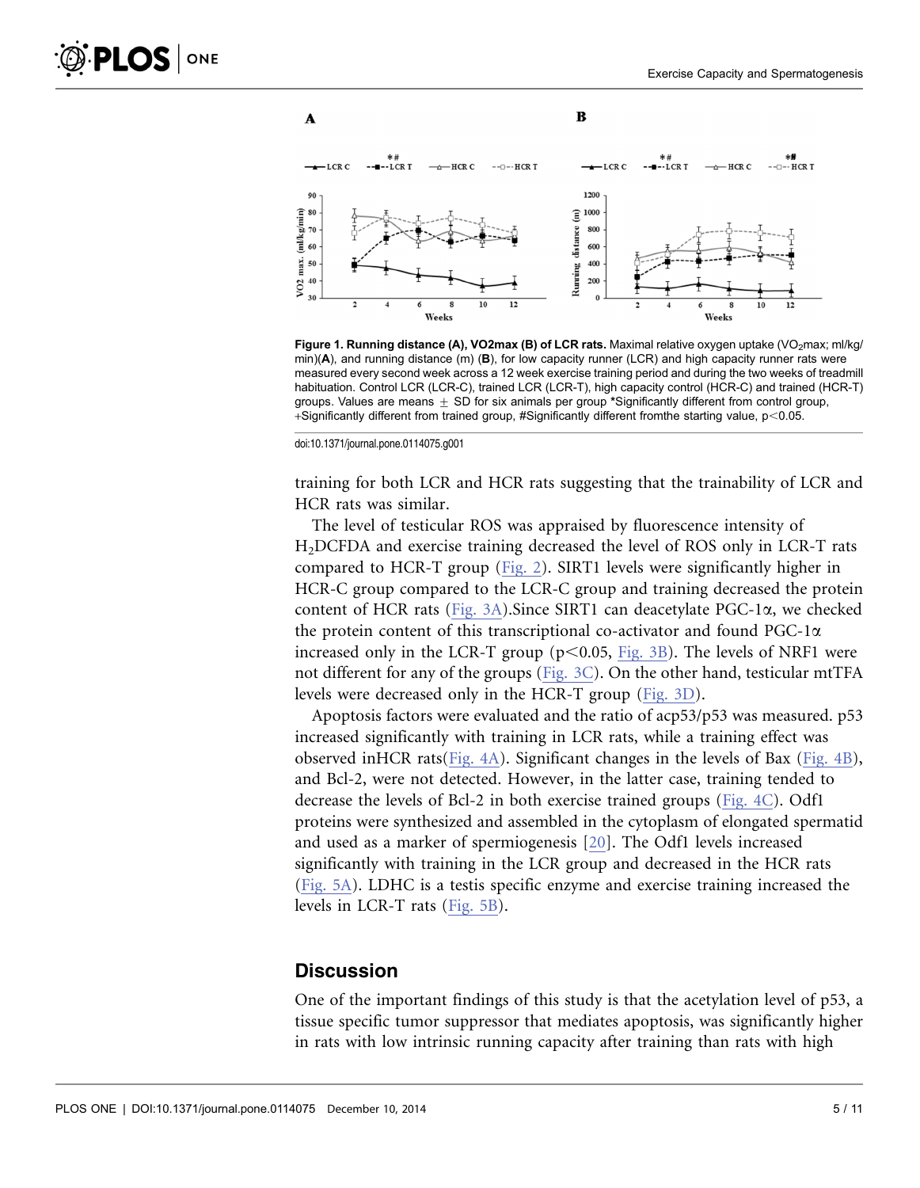

 $\overline{\mathbf{B}}$ 

<span id="page-4-0"></span>

Figure 1. Running distance (A), VO2max (B) of LCR rats. Maximal relative oxygen uptake (VO<sub>2</sub>max; ml/kg/  $min(A)$ , and running distance (m) (B), for low capacity runner (LCR) and high capacity runner rats were measured every second week across a 12 week exercise training period and during the two weeks of treadmill habituation. Control LCR (LCR-C), trained LCR (LCR-T), high capacity control (HCR-C) and trained (HCR-T) groups. Values are means  $\pm$  SD for six animals per group \*Significantly different from control group, +Significantly different from trained group, #Significantly different from the starting value,  $p<0.05$ .

doi:10.1371/journal.pone.0114075.g001

training for both LCR and HCR rats suggesting that the trainability of LCR and HCR rats was similar.

The level of testicular ROS was appraised by fluorescence intensity of H2DCFDA and exercise training decreased the level of ROS only in LCR-T rats compared to HCR-T group [\(Fig. 2](#page-5-0)). SIRT1 levels were significantly higher in HCR-C group compared to the LCR-C group and training decreased the protein content of HCR rats ([Fig. 3A](#page-5-0)).Since SIRT1 can deacetylate PGC-1a, we checked the protein content of this transcriptional co-activator and found PGC-1a increased only in the LCR-T group  $(p<0.05,$  [Fig. 3B](#page-5-0)). The levels of NRF1 were not different for any of the groups [\(Fig. 3C](#page-5-0)). On the other hand, testicular mtTFA levels were decreased only in the HCR-T group [\(Fig. 3D\)](#page-5-0).

Apoptosis factors were evaluated and the ratio of acp53/p53 was measured. p53 increased significantly with training in LCR rats, while a training effect was observed inHCR rats([Fig. 4A\)](#page-6-0). Significant changes in the levels of Bax ([Fig. 4B\)](#page-6-0), and Bcl-2, were not detected. However, in the latter case, training tended to decrease the levels of Bcl-2 in both exercise trained groups ([Fig. 4C\)](#page-6-0). Odf1 proteins were synthesized and assembled in the cytoplasm of elongated spermatid and used as a marker of spermiogenesis [\[20\].](#page-9-0) The Odf1 levels increased significantly with training in the LCR group and decreased in the HCR rats ([Fig. 5A](#page-6-0)). LDHC is a testis specific enzyme and exercise training increased the levels in LCR-T rats [\(Fig. 5B](#page-6-0)).

#### **Discussion**

One of the important findings of this study is that the acetylation level of p53, a tissue specific tumor suppressor that mediates apoptosis, was significantly higher in rats with low intrinsic running capacity after training than rats with high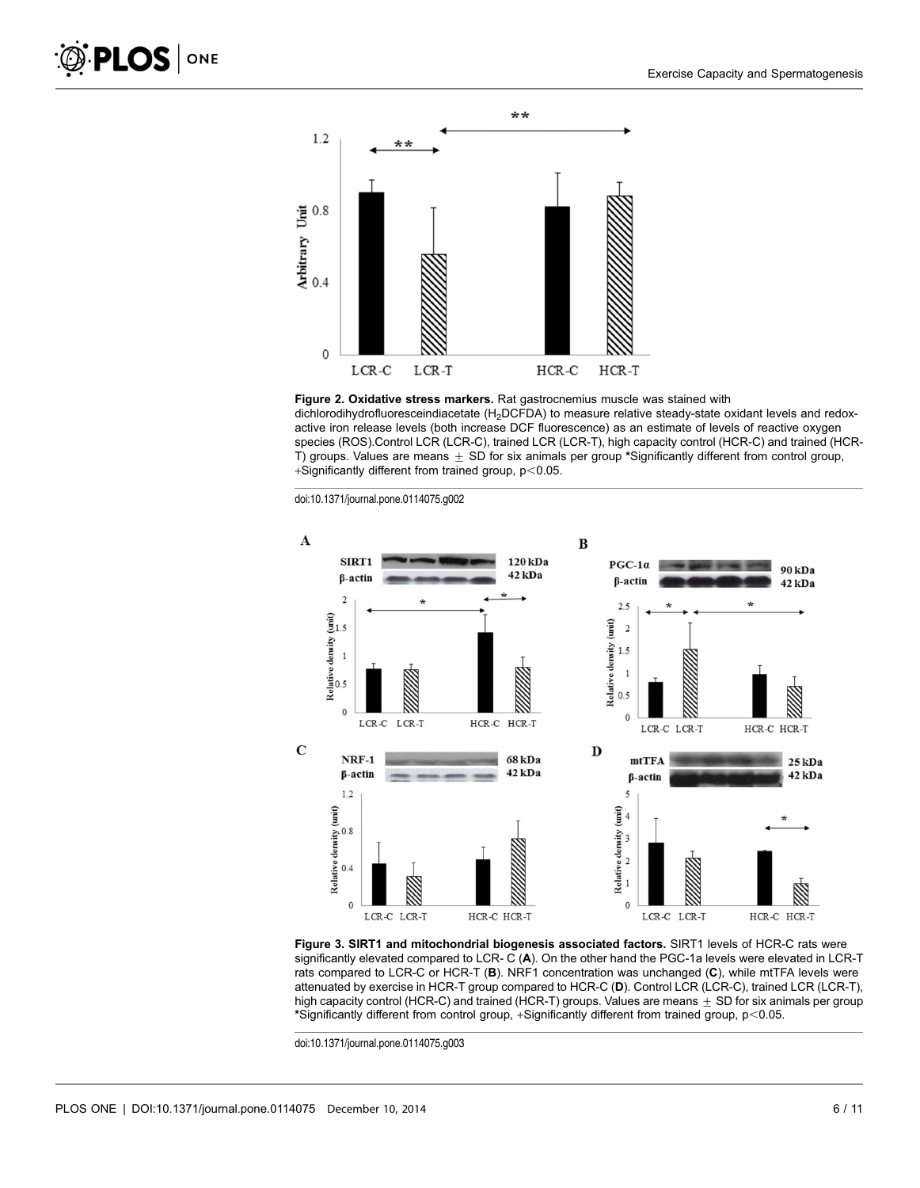<span id="page-5-0"></span>

Figure 2. Oxidative stress markers. Rat gastrocnemius muscle was stained with dichlorodihydrofluoresceindiacetate (H<sub>2</sub>DCFDA) to measure relative steady-state oxidant levels and redoxactive iron release levels (both increase DCF fluorescence) as an estimate of levels of reactive oxygen species (ROS).Control LCR (LCR-C), trained LCR (LCR-T), high capacity control (HCR-C) and trained (HCR-T) groups. Values are means  $\pm$  SD for six animals per group \*Significantly different from control group, +Significantly different from trained group,  $p<0.05$ .

doi:10.1371/journal.pone.0114075.g002



Figure 3. SIRT1 and mitochondrial biogenesis associated factors. SIRT1 levels of HCR-C rats were significantly elevated compared to LCR- C (A). On the other hand the PGC-1a levels were elevated in LCR-T rats compared to LCR-C or HCR-T (B). NRF1 concentration was unchanged (C), while mtTFA levels were attenuated by exercise in HCR-T group compared to HCR-C (D). Control LCR (LCR-C), trained LCR (LCR-T), high capacity control (HCR-C) and trained (HCR-T) groups. Values are means  $\pm$  SD for six animals per group \*Significantly different from control group, +Significantly different from trained group, p<0.05.

doi:10.1371/journal.pone.0114075.g003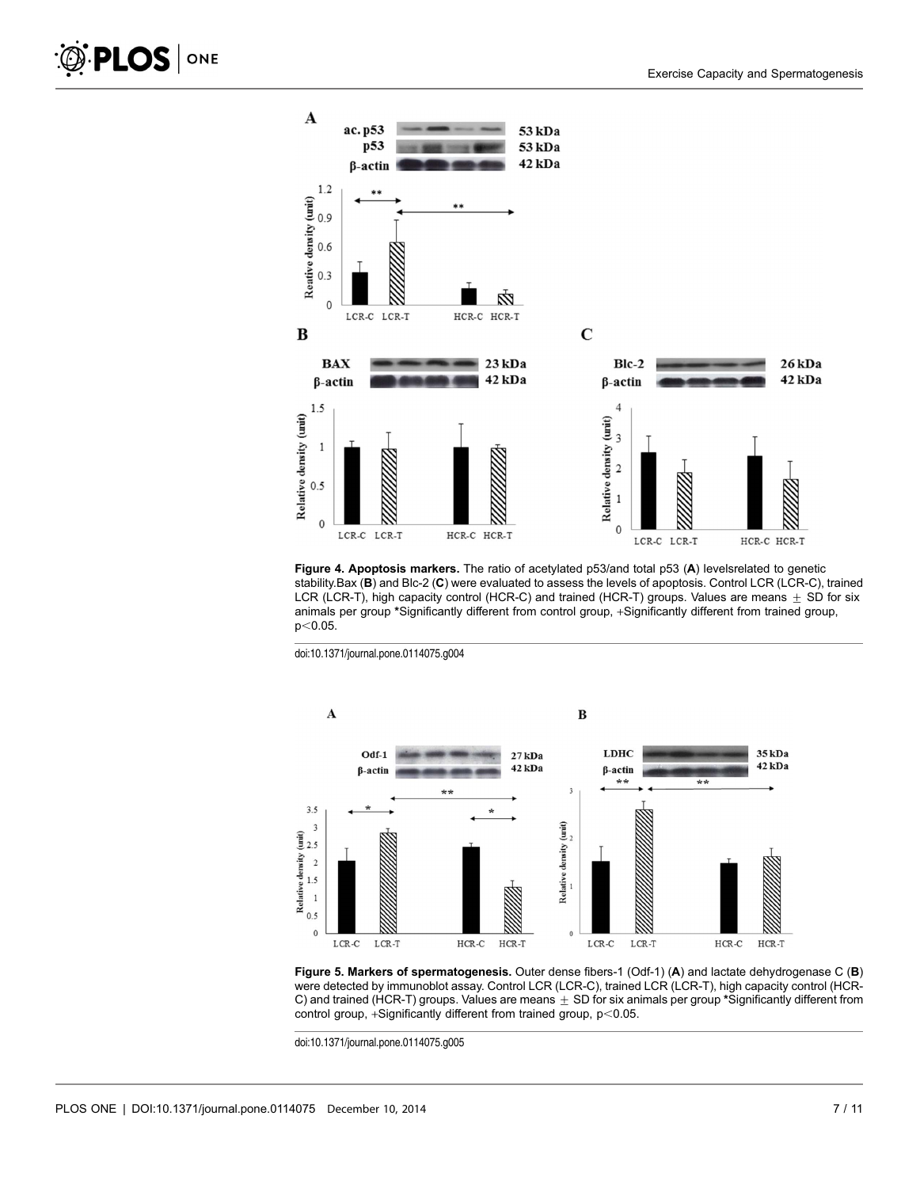<span id="page-6-0"></span>

Figure 4. Apoptosis markers. The ratio of acetylated p53/and total p53 (A) levelsrelated to genetic stability.Bax (B) and Blc-2 (C) were evaluated to assess the levels of apoptosis. Control LCR (LCR-C), trained LCR (LCR-T), high capacity control (HCR-C) and trained (HCR-T) groups. Values are means  $\pm$  SD for six animals per group \*Significantly different from control group, +Significantly different from trained group,  $p<0.05$ .

doi:10.1371/journal.pone.0114075.g004



Figure 5. Markers of spermatogenesis. Outer dense fibers-1 (Odf-1) (A) and lactate dehydrogenase C (B) were detected by immunoblot assay. Control LCR (LCR-C), trained LCR (LCR-T), high capacity control (HCR-C) and trained (HCR-T) groups. Values are means  $\pm$  SD for six animals per group \*Significantly different from control group, +Significantly different from trained group,  $p<0.05$ .

doi:10.1371/journal.pone.0114075.g005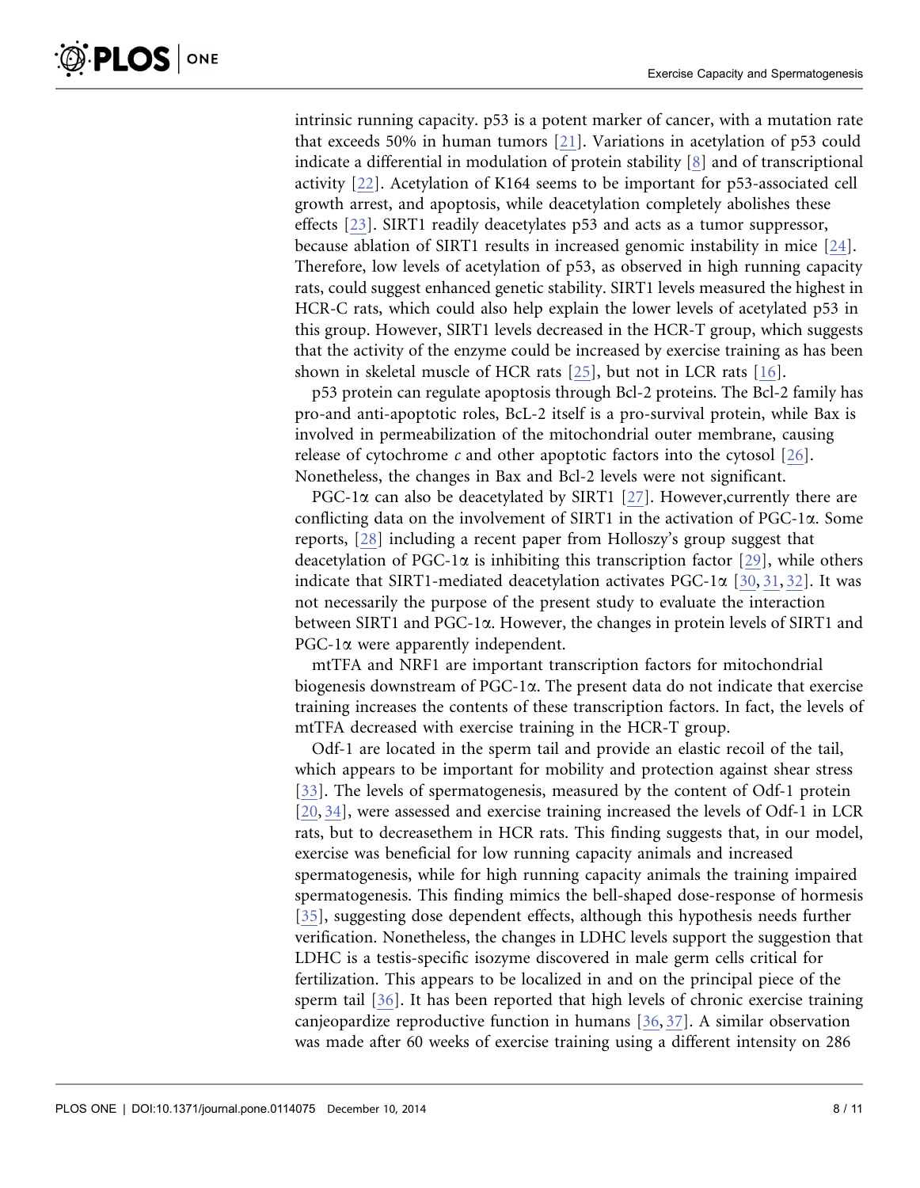intrinsic running capacity. p53 is a potent marker of cancer, with a mutation rate that exceeds 50% in human tumors [\[21\]](#page-9-0). Variations in acetylation of p53 could indicate a differential in modulation of protein stability [\[8\]](#page-8-0) and of transcriptional activity [\[22\]](#page-9-0). Acetylation of K164 seems to be important for p53-associated cell growth arrest, and apoptosis, while deacetylation completely abolishes these effects [\[23\]](#page-9-0). SIRT1 readily deacetylates p53 and acts as a tumor suppressor, because ablation of SIRT1 results in increased genomic instability in mice [\[24\].](#page-9-0) Therefore, low levels of acetylation of p53, as observed in high running capacity rats, could suggest enhanced genetic stability. SIRT1 levels measured the highest in HCR-C rats, which could also help explain the lower levels of acetylated p53 in this group. However, SIRT1 levels decreased in the HCR-T group, which suggests that the activity of the enzyme could be increased by exercise training as has been shown in skeletal muscle of HCR rats [\[25\]](#page-9-0), but not in LCR rats [\[16\].](#page-9-0)

p53 protein can regulate apoptosis through Bcl-2 proteins. The Bcl-2 family has pro-and anti-apoptotic roles, BcL-2 itself is a pro-survival protein, while Bax is involved in permeabilization of the mitochondrial outer membrane, causing release of cytochrome c and other apoptotic factors into the cytosol  $[26]$ . Nonetheless, the changes in Bax and Bcl-2 levels were not significant.

PGC-1 $\alpha$  can also be deacetylated by SIRT1 [\[27\].](#page-9-0) However, currently there are conflicting data on the involvement of SIRT1 in the activation of  $PGC-1\alpha$ . Some reports, [\[28\]](#page-9-0) including a recent paper from Holloszy's group suggest that deacetylation of PGC-1 $\alpha$  is inhibiting this transcription factor [\[29\]](#page-9-0), while others indicate that SIRT1-mediated deacetylation activates PGC-1 $\alpha$  [\[30,](#page-9-0) [31,](#page-9-0) [32\]](#page-9-0). It was not necessarily the purpose of the present study to evaluate the interaction between SIRT1 and PGC-1 $\alpha$ . However, the changes in protein levels of SIRT1 and PGC-1a were apparently independent.

mtTFA and NRF1 are important transcription factors for mitochondrial biogenesis downstream of  $PGC-1\alpha$ . The present data do not indicate that exercise training increases the contents of these transcription factors. In fact, the levels of mtTFA decreased with exercise training in the HCR-T group.

Odf-1 are located in the sperm tail and provide an elastic recoil of the tail, which appears to be important for mobility and protection against shear stress [\[33\].](#page-10-0) The levels of spermatogenesis, measured by the content of Odf-1 protein [\[20,](#page-9-0) [34](#page-10-0)[\]](#page-9-0), were assessed and exercise training increased the levels of Odf-1 in LCR rats, but to decreasethem in HCR rats. This finding suggests that, in our model, exercise was beneficial for low running capacity animals and increased spermatogenesis, while for high running capacity animals the training impaired spermatogenesis. This finding mimics the bell-shaped dose-response of hormesis [\[35\],](#page-10-0) suggesting dose dependent effects, although this hypothesis needs further verification. Nonetheless, the changes in LDHC levels support the suggestion that LDHC is a testis-specific isozyme discovered in male germ cells critical for fertilization. This appears to be localized in and on the principal piece of the sperm tail [\[36\].](#page-10-0) It has been reported that high levels of chronic exercise training canjeopardize reproductive function in humans [\[36,](#page-10-0) [37\].](#page-10-0) A similar observation was made after 60 weeks of exercise training using a different intensity on 286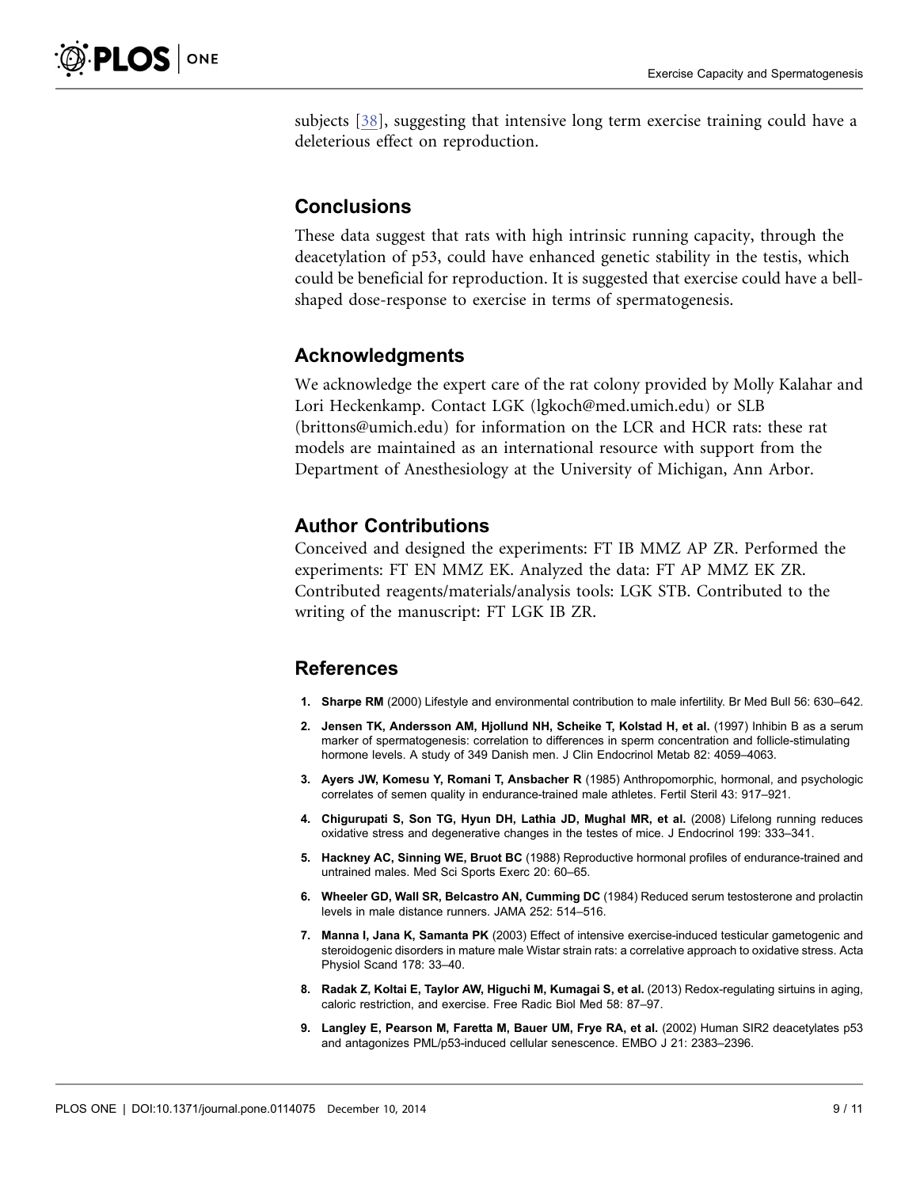<span id="page-8-0"></span>subjects [\[38\],](#page-10-0) suggesting that intensive long term exercise training could have a deleterious effect on reproduction.

#### **Conclusions**

These data suggest that rats with high intrinsic running capacity, through the deacetylation of p53, could have enhanced genetic stability in the testis, which could be beneficial for reproduction. It is suggested that exercise could have a bellshaped dose-response to exercise in terms of spermatogenesis.

#### Acknowledgments

We acknowledge the expert care of the rat colony provided by Molly Kalahar and Lori Heckenkamp. Contact LGK (lgkoch@med.umich.edu) or SLB (brittons@umich.edu) for information on the LCR and HCR rats: these rat models are maintained as an international resource with support from the Department of Anesthesiology at the University of Michigan, Ann Arbor.

#### Author Contributions

Conceived and designed the experiments: FT IB MMZ AP ZR. Performed the experiments: FT EN MMZ EK. Analyzed the data: FT AP MMZ EK ZR. Contributed reagents/materials/analysis tools: LGK STB. Contributed to the writing of the manuscript: FT LGK IB ZR.

# References

- 1. Sharpe RM (2000) Lifestyle and environmental contribution to male infertility. Br Med Bull 56: 630–642.
- 2. Jensen TK, Andersson AM, Hjollund NH, Scheike T, Kolstad H, et al. (1997) Inhibin B as a serum marker of spermatogenesis: correlation to differences in sperm concentration and follicle-stimulating hormone levels. A study of 349 Danish men. J Clin Endocrinol Metab 82: 4059–4063.
- 3. Ayers JW, Komesu Y, Romani T, Ansbacher R (1985) Anthropomorphic, hormonal, and psychologic correlates of semen quality in endurance-trained male athletes. Fertil Steril 43: 917–921.
- 4. Chigurupati S, Son TG, Hyun DH, Lathia JD, Mughal MR, et al. (2008) Lifelong running reduces oxidative stress and degenerative changes in the testes of mice. J Endocrinol 199: 333–341.
- 5. Hackney AC, Sinning WE, Bruot BC (1988) Reproductive hormonal profiles of endurance-trained and untrained males. Med Sci Sports Exerc 20: 60–65.
- 6. Wheeler GD, Wall SR, Belcastro AN, Cumming DC (1984) Reduced serum testosterone and prolactin levels in male distance runners. JAMA 252: 514–516.
- 7. Manna I, Jana K, Samanta PK (2003) Effect of intensive exercise-induced testicular gametogenic and steroidogenic disorders in mature male Wistar strain rats: a correlative approach to oxidative stress. Acta Physiol Scand 178: 33–40.
- 8. Radak Z, Koltai E, Taylor AW, Higuchi M, Kumagai S, et al. (2013) Redox-regulating sirtuins in aging, caloric restriction, and exercise. Free Radic Biol Med 58: 87–97.
- 9. Langley E, Pearson M, Faretta M, Bauer UM, Frye RA, et al. (2002) Human SIR2 deacetylates p53 and antagonizes PML/p53-induced cellular senescence. EMBO J 21: 2383–2396.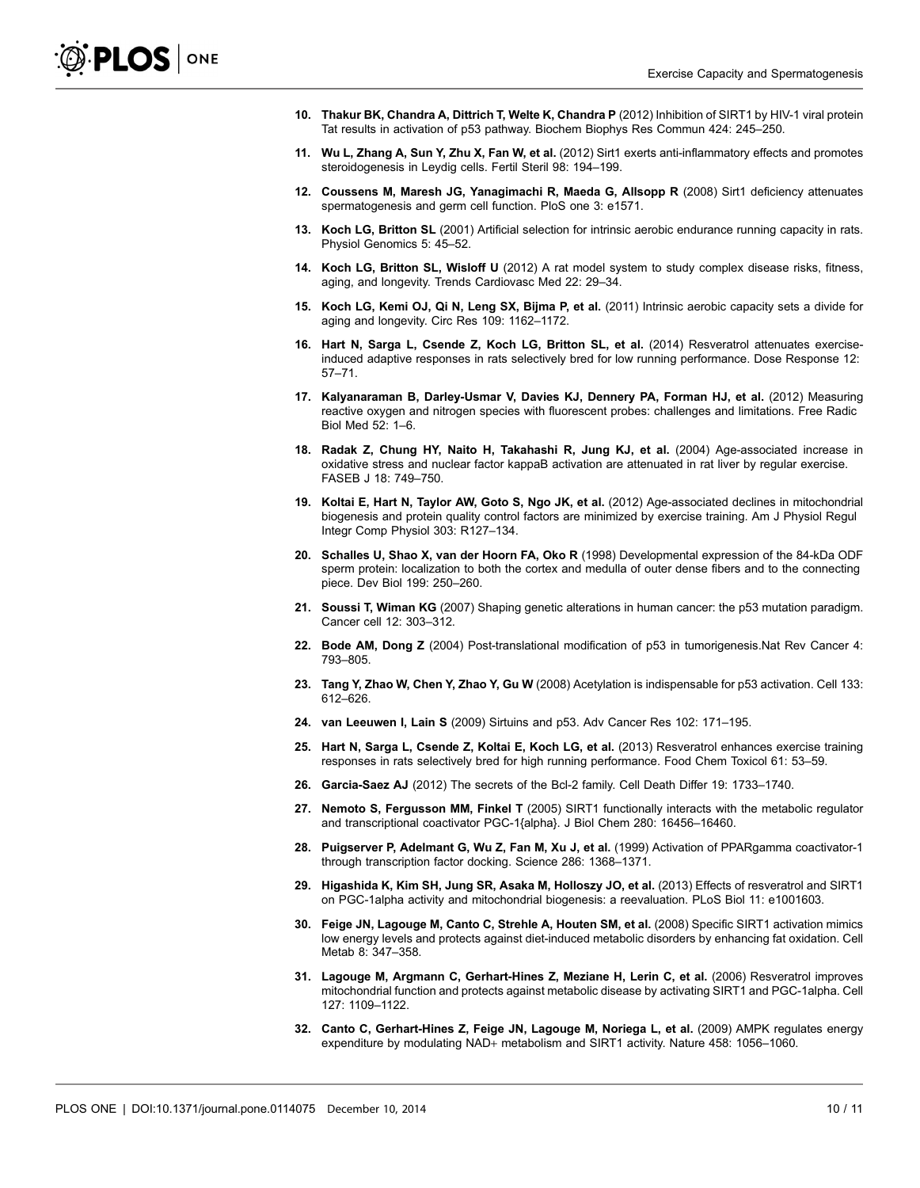- <span id="page-9-0"></span>10. Thakur BK, Chandra A, Dittrich T, Welte K, Chandra P (2012) Inhibition of SIRT1 by HIV-1 viral protein Tat results in activation of p53 pathway. Biochem Biophys Res Commun 424: 245–250.
- 11. Wu L, Zhang A, Sun Y, Zhu X, Fan W, et al. (2012) Sirt1 exerts anti-inflammatory effects and promotes steroidogenesis in Leydig cells. Fertil Steril 98: 194–199.
- 12. Coussens M, Maresh JG, Yanagimachi R, Maeda G, Allsopp R (2008) Sirt1 deficiency attenuates spermatogenesis and germ cell function. PloS one 3: e1571.
- 13. Koch LG, Britton SL (2001) Artificial selection for intrinsic aerobic endurance running capacity in rats. Physiol Genomics 5: 45–52.
- 14. Koch LG, Britton SL, Wisloff U (2012) A rat model system to study complex disease risks, fitness, aging, and longevity. Trends Cardiovasc Med 22: 29–34.
- 15. Koch LG, Kemi OJ, Qi N, Leng SX, Bijma P, et al. (2011) Intrinsic aerobic capacity sets a divide for aging and longevity. Circ Res 109: 1162–1172.
- 16. Hart N, Sarga L, Csende Z, Koch LG, Britton SL, et al. (2014) Resveratrol attenuates exerciseinduced adaptive responses in rats selectively bred for low running performance. Dose Response 12: 57–71.
- 17. Kalyanaraman B, Darley-Usmar V, Davies KJ, Dennery PA, Forman HJ, et al. (2012) Measuring reactive oxygen and nitrogen species with fluorescent probes: challenges and limitations. Free Radic Biol Med 52: 1–6.
- 18. Radak Z, Chung HY, Naito H, Takahashi R, Jung KJ, et al. (2004) Age-associated increase in oxidative stress and nuclear factor kappaB activation are attenuated in rat liver by regular exercise. FASEB J 18: 749–750.
- 19. Koltai E, Hart N, Taylor AW, Goto S, Ngo JK, et al. (2012) Age-associated declines in mitochondrial biogenesis and protein quality control factors are minimized by exercise training. Am J Physiol Regul Integr Comp Physiol 303: R127–134.
- 20. Schalles U, Shao X, van der Hoorn FA, Oko R (1998) Developmental expression of the 84-kDa ODF sperm protein: localization to both the cortex and medulla of outer dense fibers and to the connecting piece. Dev Biol 199: 250–260.
- 21. Soussi T, Wiman KG (2007) Shaping genetic alterations in human cancer: the p53 mutation paradigm. Cancer cell 12: 303–312.
- 22. Bode AM, Dong Z (2004) Post-translational modification of p53 in tumorigenesis.Nat Rev Cancer 4: 793–805.
- 23. Tang Y, Zhao W, Chen Y, Zhao Y, Gu W (2008) Acetylation is indispensable for p53 activation. Cell 133: 612–626.
- 24. van Leeuwen I, Lain S (2009) Sirtuins and p53. Adv Cancer Res 102: 171–195.
- 25. Hart N, Sarga L, Csende Z, Koltai E, Koch LG, et al. (2013) Resveratrol enhances exercise training responses in rats selectively bred for high running performance. Food Chem Toxicol 61: 53–59.
- 26. Garcia-Saez AJ (2012) The secrets of the Bcl-2 family. Cell Death Differ 19: 1733–1740.
- 27. Nemoto S, Fergusson MM, Finkel T (2005) SIRT1 functionally interacts with the metabolic regulator and transcriptional coactivator PGC-1{alpha}. J Biol Chem 280: 16456–16460.
- 28. Puigserver P, Adelmant G, Wu Z, Fan M, Xu J, et al. (1999) Activation of PPARgamma coactivator-1 through transcription factor docking. Science 286: 1368–1371.
- 29. Higashida K, Kim SH, Jung SR, Asaka M, Holloszy JO, et al. (2013) Effects of resveratrol and SIRT1 on PGC-1alpha activity and mitochondrial biogenesis: a reevaluation. PLoS Biol 11: e1001603.
- 30. Feige JN, Lagouge M, Canto C, Strehle A, Houten SM, et al. (2008) Specific SIRT1 activation mimics low energy levels and protects against diet-induced metabolic disorders by enhancing fat oxidation. Cell Metab 8: 347–358.
- 31. Lagouge M, Argmann C, Gerhart-Hines Z, Meziane H, Lerin C, et al. (2006) Resveratrol improves mitochondrial function and protects against metabolic disease by activating SIRT1 and PGC-1alpha. Cell 127: 1109–1122.
- 32. Canto C, Gerhart-Hines Z, Feige JN, Lagouge M, Noriega L, et al. (2009) AMPK regulates energy expenditure by modulating NAD+ metabolism and SIRT1 activity. Nature 458: 1056–1060.